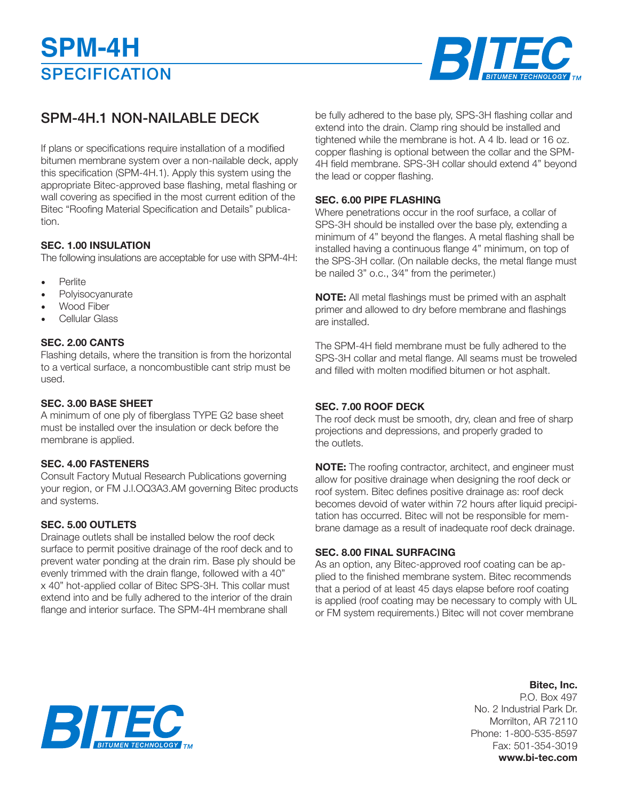

## SPM-4H.1 NON-NAILABLE DECK

If plans or specifications require installation of a modified bitumen membrane system over a non-nailable deck, apply this specification (SPM-4H.1). Apply this system using the appropriate Bitec-approved base flashing, metal flashing or wall covering as specified in the most current edition of the Bitec "Roofing Material Specification and Details" publication.

#### **SEC. 1.00 INSULATION**

The following insulations are acceptable for use with SPM-4H:

- **Perlite**
- Polyisocyanurate
- Wood Fiber
- Cellular Glass

#### **SEC. 2.00 CANTS**

Flashing details, where the transition is from the horizontal to a vertical surface, a noncombustible cant strip must be used.

#### **SEC. 3.00 BASE SHEET**

A minimum of one ply of fiberglass TYPE G2 base sheet must be installed over the insulation or deck before the membrane is applied.

#### **SEC. 4.00 FASTENERS**

Consult Factory Mutual Research Publications governing your region, or FM J.l.OQ3A3.AM governing Bitec products and systems.

#### **SEC. 5.00 OUTLETS**

Drainage outlets shall be installed below the roof deck surface to permit positive drainage of the roof deck and to prevent water ponding at the drain rim. Base ply should be evenly trimmed with the drain flange, followed with a 40" x 40" hot-applied collar of Bitec SPS-3H. This collar must extend into and be fully adhered to the interior of the drain flange and interior surface. The SPM-4H membrane shall

be fully adhered to the base ply, SPS-3H flashing collar and extend into the drain. Clamp ring should be installed and tightened while the membrane is hot. A 4 lb. lead or 16 oz. copper flashing is optional between the collar and the SPM-4H field membrane. SPS-3H collar should extend 4" beyond the lead or copper flashing.

#### **SEC. 6.00 PIPE FLASHING**

Where penetrations occur in the roof surface, a collar of SPS-3H should be installed over the base ply, extending a minimum of 4" beyond the flanges. A metal flashing shall be installed having a continuous flange 4" minimum, on top of the SPS-3H collar. (On nailable decks, the metal flange must be nailed 3" o.c., 3⁄4" from the perimeter.)

**NOTE:** All metal flashings must be primed with an asphalt primer and allowed to dry before membrane and flashings are installed.

The SPM-4H field membrane must be fully adhered to the SPS-3H collar and metal flange. All seams must be troweled and filled with molten modified bitumen or hot asphalt.

#### **SEC. 7.00 ROOF DECK**

The roof deck must be smooth, dry, clean and free of sharp projections and depressions, and properly graded to the outlets.

**NOTE:** The roofing contractor, architect, and engineer must allow for positive drainage when designing the roof deck or roof system. Bitec defines positive drainage as: roof deck becomes devoid of water within 72 hours after liquid precipitation has occurred. Bitec will not be responsible for membrane damage as a result of inadequate roof deck drainage.

#### **SEC. 8.00 FINAL SURFACING**

As an option, any Bitec-approved roof coating can be applied to the finished membrane system. Bitec recommends that a period of at least 45 days elapse before roof coating is applied (roof coating may be necessary to comply with UL or FM system requirements.) Bitec will not cover membrane

### **Bitec, Inc.**

P.O. Box 497 No. 2 Industrial Park Dr. Morrilton, AR 72110 Phone: 1-800-535-8597 Fax: 501-354-3019 **www.bi-tec.com**